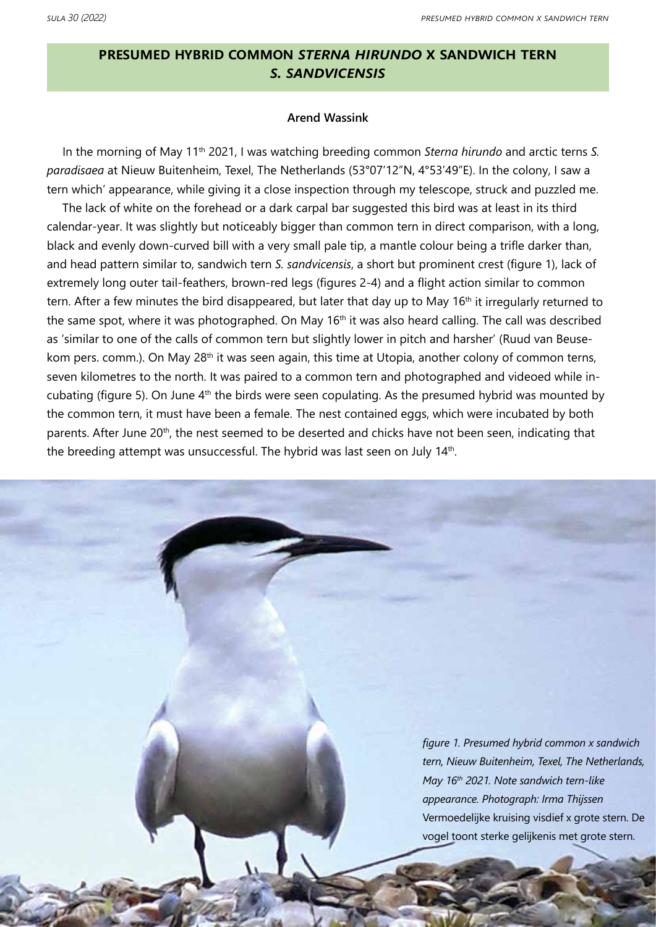# **presumed hybrid common** *sterna hirundo* **x sandwich tern**  *s. sandvicensis*

## **Arend Wassink**

In the morning of May 11th 2021, I was watching breeding common *Sterna hirundo* and arctic terns *S. paradisaea* at Nieuw Buitenheim, Texel, The Netherlands (53°07'12"N, 4°53'49"E). In the colony, I saw a tern which' appearance, while giving it a close inspection through my telescope, struck and puzzled me.

The lack of white on the forehead or a dark carpal bar suggested this bird was at least in its third calendar-year. It was slightly but noticeably bigger than common tern in direct comparison, with a long, black and evenly down-curved bill with a very small pale tip, a mantle colour being a trifle darker than, and head pattern similar to, sandwich tern *S. sandvicensis*, a short but prominent crest (figure 1), lack of extremely long outer tail-feathers, brown-red legs (figures 2-4) and a flight action similar to common tern. After a few minutes the bird disappeared, but later that day up to May 16<sup>th</sup> it irregularly returned to the same spot, where it was photographed. On May 16<sup>th</sup> it was also heard calling. The call was described as 'similar to one of the calls of common tern but slightly lower in pitch and harsher' (Ruud van Beusekom pers. comm.). On May 28<sup>th</sup> it was seen again, this time at Utopia, another colony of common terns, seven kilometres to the north. It was paired to a common tern and photographed and videoed while incubating (figure 5). On June 4<sup>th</sup> the birds were seen copulating. As the presumed hybrid was mounted by the common tern, it must have been a female. The nest contained eggs, which were incubated by both parents. After June 20<sup>th</sup>, the nest seemed to be deserted and chicks have not been seen, indicating that the breeding attempt was unsuccessful. The hybrid was last seen on July 14<sup>th</sup>.

> *figure 1. Presumed hybrid common x sandwich tern, Nieuw Buitenheim, Texel, The Netherlands, May 16th 2021. Note sandwich tern-like appearance. Photograph: Irma Thijssen* Vermoedelijke kruising visdief x grote stern. De vogel toont sterke gelijkenis met grote stern.

> > 1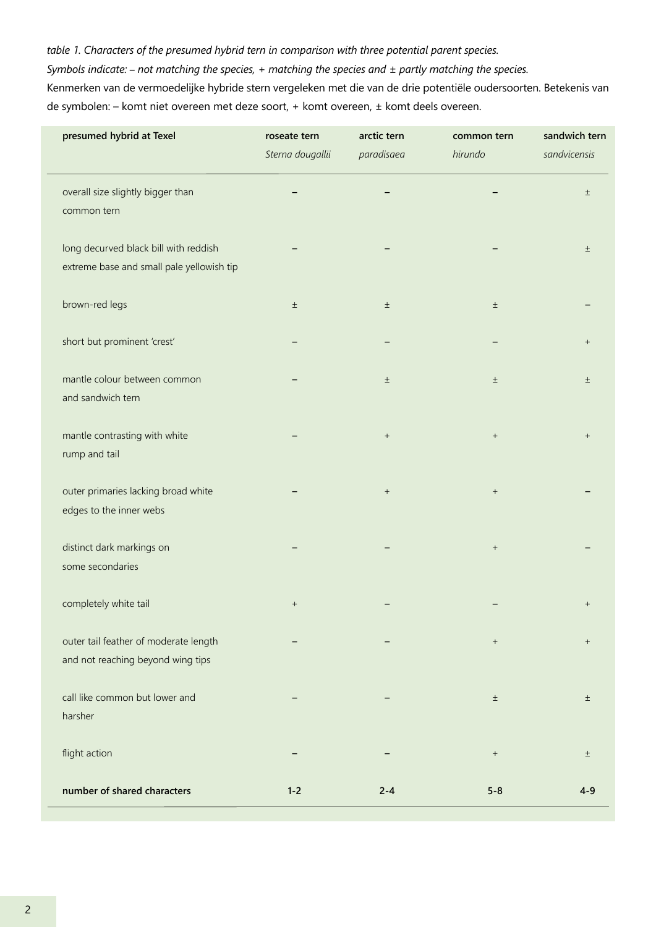# *table 1. Characters of the presumed hybrid tern in comparison with three potential parent species.*

*Symbols indicate:* **–** *not matching the species, + matching the species and ± partly matching the species.*

Kenmerken van de vermoedelijke hybride stern vergeleken met die van de drie potentiële oudersoorten. Betekenis van de symbolen: – komt niet overeen met deze soort, + komt overeen, ± komt deels overeen.

| presumed hybrid at Texel                  | roseate tern                     | arctic tern<br>paradisaea | common tern<br>hirundo           | sandwich tern<br>sandvicensis |
|-------------------------------------------|----------------------------------|---------------------------|----------------------------------|-------------------------------|
|                                           | Sterna dougallii                 |                           |                                  |                               |
| overall size slightly bigger than         |                                  |                           |                                  | $\pm$                         |
| common tern                               |                                  |                           |                                  |                               |
| long decurved black bill with reddish     |                                  |                           |                                  | $\pm$                         |
| extreme base and small pale yellowish tip |                                  |                           |                                  |                               |
| brown-red legs                            | $\pm$                            | $\pm$                     | $\pm$                            |                               |
| short but prominent 'crest'               |                                  |                           |                                  | $^{+}$                        |
| mantle colour between common              |                                  | $\pm$                     | $\pm$                            | $_{\pm}$                      |
| and sandwich tern                         |                                  |                           |                                  |                               |
| mantle contrasting with white             |                                  | $\qquad \qquad +$         | $\begin{array}{c} + \end{array}$ | $+$                           |
| rump and tail                             |                                  |                           |                                  |                               |
| outer primaries lacking broad white       |                                  | $\qquad \qquad +$         | $^+$                             |                               |
| edges to the inner webs                   |                                  |                           |                                  |                               |
| distinct dark markings on                 |                                  |                           | $\qquad \qquad +$                |                               |
| some secondaries                          |                                  |                           |                                  |                               |
| completely white tail                     | $\begin{array}{c} + \end{array}$ |                           |                                  | $^{+}$                        |
| outer tail feather of moderate length     |                                  |                           | $\begin{array}{c} + \end{array}$ | $^{+}$                        |
| and not reaching beyond wing tips         |                                  |                           |                                  |                               |
| call like common but lower and            |                                  |                           | $\pm$                            | $\pm$                         |
| harsher                                   |                                  |                           |                                  |                               |
| flight action                             |                                  |                           | $^+$                             | $\pm$                         |
| number of shared characters               | $1 - 2$                          | $2 - 4$                   | $5 - 8$                          | $4-9$                         |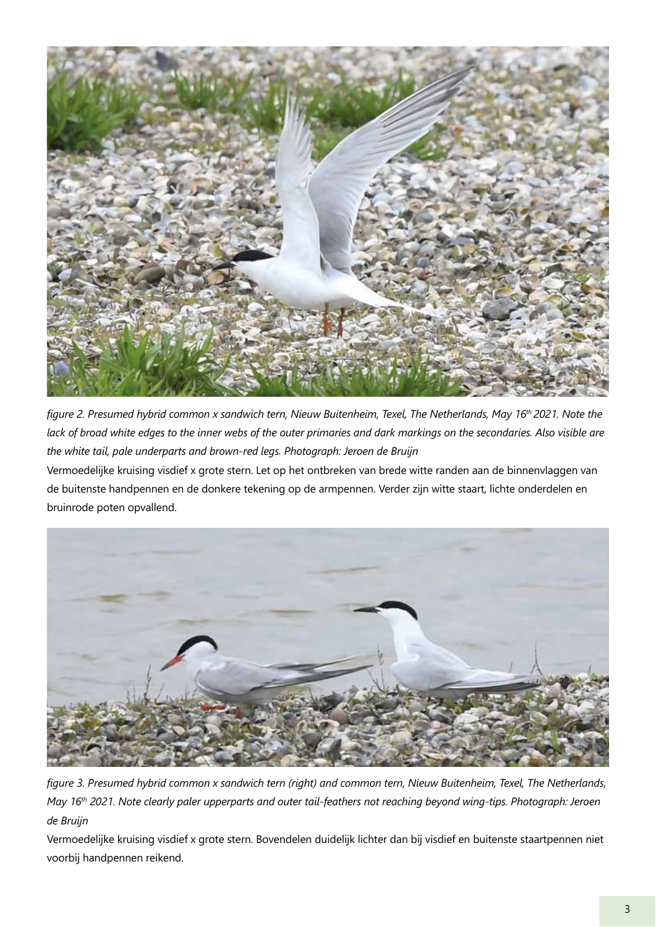

*figure 2. Presumed hybrid common x sandwich tern, Nieuw Buitenheim, Texel, The Netherlands, May 16th 2021. Note the lack of broad white edges to the inner webs of the outer primaries and dark markings on the secondaries. Also visible are the white tail, pale underparts and brown-red legs. Photograph: Jeroen de Bruijn*

Vermoedelijke kruising visdief x grote stern. Let op het ontbreken van brede witte randen aan de binnenvlaggen van de buitenste handpennen en de donkere tekening op de armpennen. Verder zijn witte staart, lichte onderdelen en bruinrode poten opvallend.



*figure 3. Presumed hybrid common x sandwich tern (right) and common tern, Nieuw Buitenheim, Texel, The Netherlands, May 16th 2021. Note clearly paler upperparts and outer tail-feathers not reaching beyond wing-tips. Photograph: Jeroen de Bruijn*

Vermoedelijke kruising visdief x grote stern. Bovendelen duidelijk lichter dan bij visdief en buitenste staartpennen niet voorbij handpennen reikend.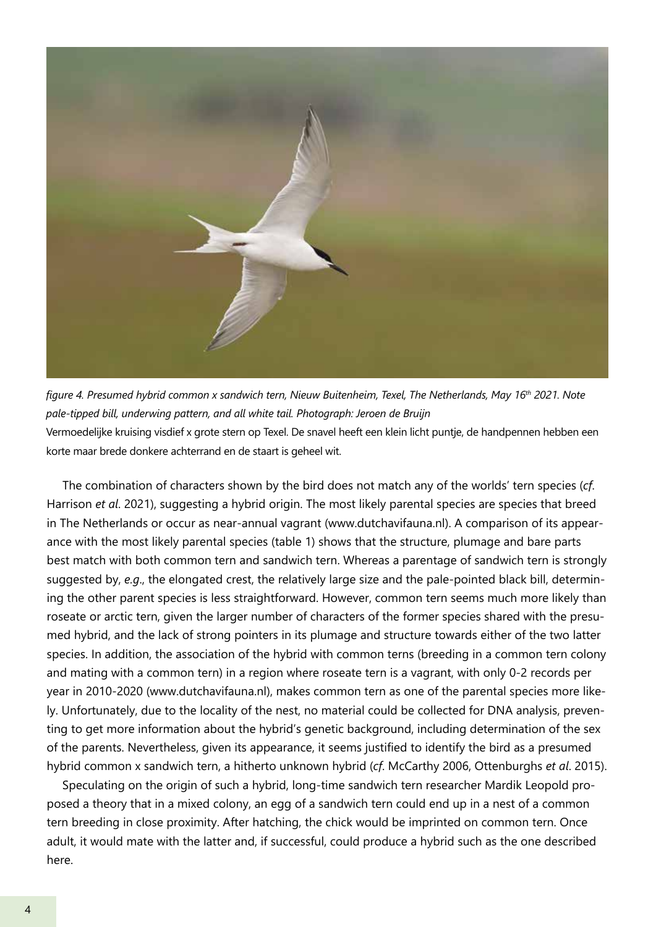

*figure 4. Presumed hybrid common x sandwich tern, Nieuw Buitenheim, Texel, The Netherlands, May 16th 2021. Note pale-tipped bill, underwing pattern, and all white tail. Photograph: Jeroen de Bruijn* Vermoedelijke kruising visdief x grote stern op Texel. De snavel heeft een klein licht puntje, de handpennen hebben een korte maar brede donkere achterrand en de staart is geheel wit.

The combination of characters shown by the bird does not match any of the worlds' tern species (*cf*. Harrison *et al*. 2021), suggesting a hybrid origin. The most likely parental species are species that breed in The Netherlands or occur as near-annual vagrant (www.dutchavifauna.nl). A comparison of its appearance with the most likely parental species (table 1) shows that the structure, plumage and bare parts best match with both common tern and sandwich tern. Whereas a parentage of sandwich tern is strongly suggested by, *e.g*., the elongated crest, the relatively large size and the pale-pointed black bill, determining the other parent species is less straightforward. However, common tern seems much more likely than roseate or arctic tern, given the larger number of characters of the former species shared with the presumed hybrid, and the lack of strong pointers in its plumage and structure towards either of the two latter species. In addition, the association of the hybrid with common terns (breeding in a common tern colony and mating with a common tern) in a region where roseate tern is a vagrant, with only 0-2 records per year in 2010-2020 (www.dutchavifauna.nl), makes common tern as one of the parental species more likely. Unfortunately, due to the locality of the nest, no material could be collected for DNA analysis, preventing to get more information about the hybrid's genetic background, including determination of the sex of the parents. Nevertheless, given its appearance, it seems justified to identify the bird as a presumed hybrid common x sandwich tern, a hitherto unknown hybrid (*cf*. McCarthy 2006, Ottenburghs *et al*. 2015).

Speculating on the origin of such a hybrid, long-time sandwich tern researcher Mardik Leopold proposed a theory that in a mixed colony, an egg of a sandwich tern could end up in a nest of a common tern breeding in close proximity. After hatching, the chick would be imprinted on common tern. Once adult, it would mate with the latter and, if successful, could produce a hybrid such as the one described here.